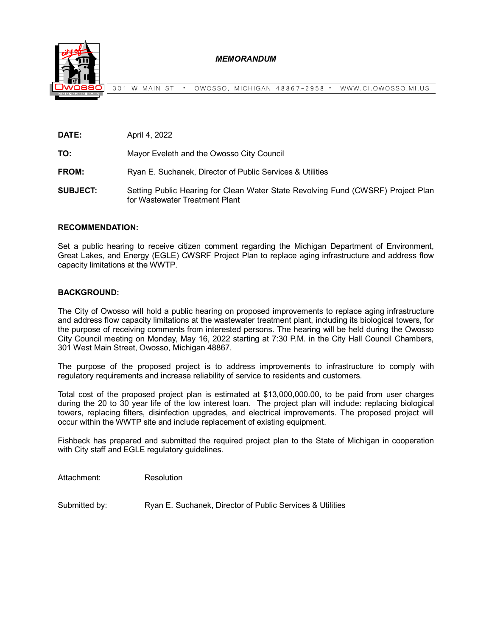

301 W MAIN ST **∙** OWOSSO, MICHIGAN 48867-2958 **∙** WWW.CI.OWOSSO.MI.US

| April 4, 2022<br>DATE: |
|------------------------|
|------------------------|

**TO:** Mayor Eveleth and the Owosso City Council

**FROM:** Ryan E. Suchanek, Director of Public Services & Utilities

**SUBJECT:** Setting Public Hearing for Clean Water State Revolving Fund (CWSRF) Project Plan for Wastewater Treatment Plant

## **RECOMMENDATION:**

Set a public hearing to receive citizen comment regarding the Michigan Department of Environment, Great Lakes, and Energy (EGLE) CWSRF Project Plan to replace aging infrastructure and address flow capacity limitations at the WWTP.

## **BACKGROUND:**

The City of Owosso will hold a public hearing on proposed improvements to replace aging infrastructure and address flow capacity limitations at the wastewater treatment plant, including its biological towers, for the purpose of receiving comments from interested persons. The hearing will be held during the Owosso City Council meeting on Monday, May 16, 2022 starting at 7:30 P.M. in the City Hall Council Chambers, 301 West Main Street, Owosso, Michigan 48867.

The purpose of the proposed project is to address improvements to infrastructure to comply with regulatory requirements and increase reliability of service to residents and customers.

Total cost of the proposed project plan is estimated at \$13,000,000.00, to be paid from user charges during the 20 to 30 year life of the low interest loan. The project plan will include: replacing biological towers, replacing filters, disinfection upgrades, and electrical improvements. The proposed project will occur within the WWTP site and include replacement of existing equipment.

Fishbeck has prepared and submitted the required project plan to the State of Michigan in cooperation with City staff and EGLE regulatory guidelines.

Attachment: Resolution

Submitted by: Ryan E. Suchanek, Director of Public Services & Utilities